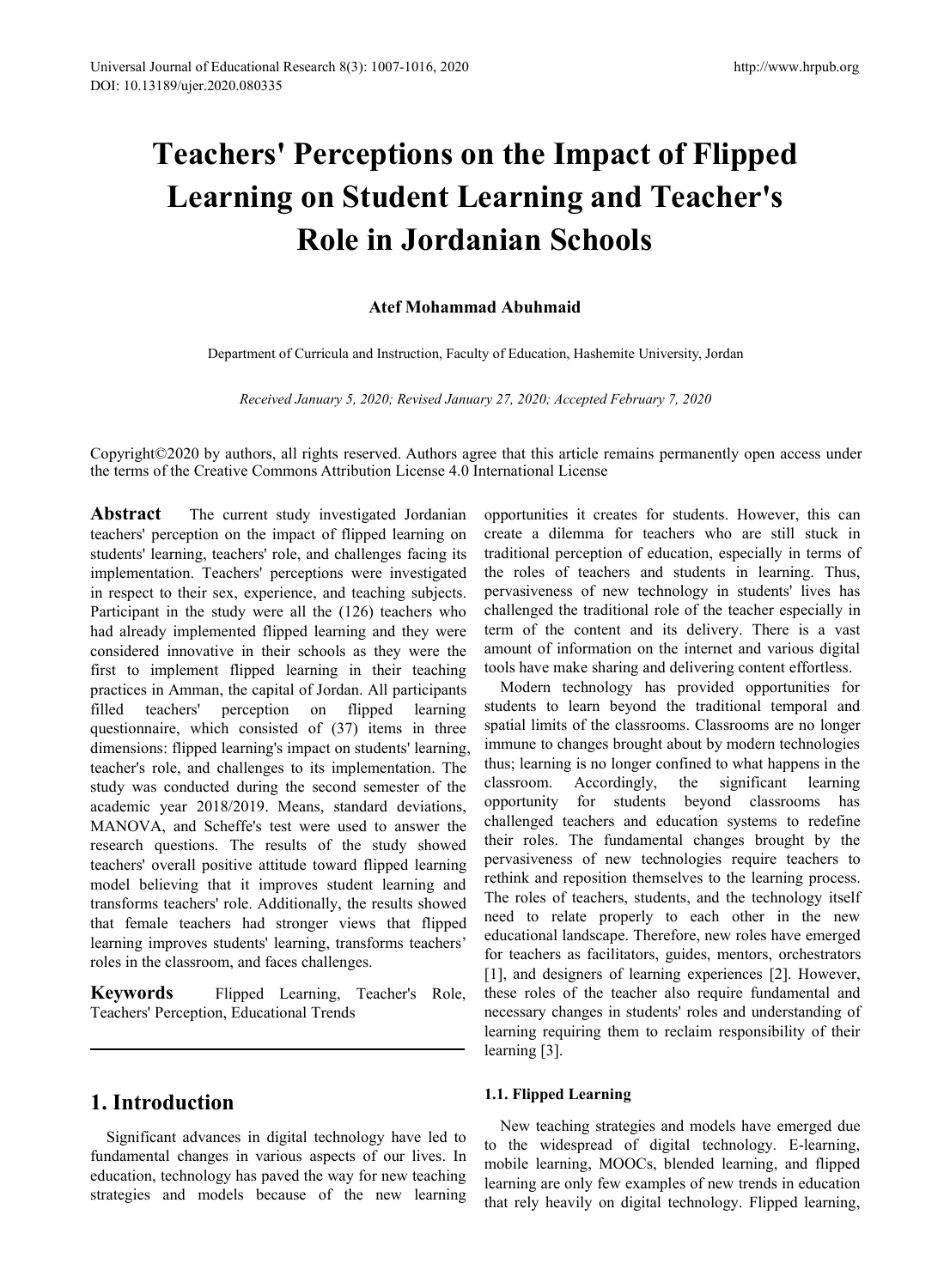# Ionumal of Educational Research 8(3): 1007-1016, 2020<br> **Teachers' Perceptions on the Impact of Flipped<br>
Learning on Student Learning and Teacher's<br>
Role in Jordanian Schools** Imal of Educational Research 8(3): 1007-1016, 2020<br>
29/ujer.2020.080335<br> **Learning on Student Learning and Teacher's<br>
Role in Jordanian Schools**<br>
Atef Mohammad Abuhmaid<br>
Decertaint of Curricule and Internation Features (Sc Exerch 8(3): 1007-1016, 2020<br> **Perceptions on the Impact of Flipped<br>
<b>on Student Learning and Teacher's**<br> **Role in Jordanian Schools**<br>
Atef Mohammad Abuhmaid<br>
Curricula and Instruction, Faculty of Education, Hashemite Univ 1007-1016, 2020<br> **Attp://v**<br> **Attp://v**<br> **Attef Mohammad Abuhmaid**<br> **Atter Mohammad Abuhmaid**<br> **Atter Mohammad Abuhmaid**<br> **Atter Mohammad Abuhmaid**<br> **Atter Mohammad Abuhmaid**<br> **Al Instruction, Faculty of Education, Hashemi Chers' Perceptions on the Impact of Flipped<br>
arning on Student Learning and Teacher's<br>
Role in Jordanian Schools**<br>
Atef Mohammad Abuhmaid<br>
Department of Curricula and Instruction, Faculty of Education, Hashemite Universit **Role in Jordanian Schools<br>** *Role in Jordanian Schools***<br>** *Atef Mohammad Abuhmaid***<br>** *Received January 5, 2020; Revised January 27, 2020; Accepted February 7, 2020***<br>** *Received January 5, 2020; Revised January 27, 2020; Accep*

**Copyright©2020 by authors, all rights reserved. Authors agree that this article remains permanently open access under the terms of the Creative Commons Attribution License 4.0 International License<br>
Abstract The current s KOIE IN JOTCIANIAN SCHOOIS**<br>Atef Mohammad Abuhmaid<br>Department of Curricula and Instruction, Faculty of Education, Hashemite University, Jordan<br>Received January 5, 2020; Revised January 27, 2020; Accepted February 7, 2020<br>

Atef Mohammad Abuhmaid<br>
Department of Curricula and Instruction, Faculty of Education, Hashemite U.<br>
Received January 5, 2020; Revised January 27, 2020; Accepted Februa<br>
Copyright©2020 by authors, all rights reserved. Auth Atef Mohammad Abuhmaid<br>
Department of Curricula and Instruction, Faculty of Education, Hashemite University<br>
Received January 5, 2020; Revised January 27, 2020; Accepted February 7, 20<br>
Copyright©2020 by authors, all right Department of Curricula and Instruction, Faculty of Education, Hashemite University<br>
Received January 5, 2020; Revised January 27, 2020; Accepted February 7, 20<br>
Copyright©2020 by authors, all rights reserved. Authors agre Department of Curricula and Instruction, Faculty of Education, Hashemite<br>
Received January 5, 2020; Revised January 27, 2020; Accepted Febr<br>
Copyright©2020 by authors, all rights reserved. Authors agree that this article r Expansion of Curincia and institution, ractiny of Education, rashemic on<br>
Received January 5, 2020; Revised January 27, 2020; Accepted Februar<br>
Copyright©2020 by authors, all rights reserved. Authors agree that this articl Received January 5, 2020; Revised January 27, 2020; Accepted February 7, 20 Copyright (20020 by authors, all rights reserved. Authors agree that this article remains pert<br>the terms of the Creative Commons Attribution Licen Received January 5, 2020; Revised January 27, 2020; Accepted February 7,<br>
Copyright©2020 by authors, all rights reserved. Authors agree that this article remains per<br>
the terms of the Creative Commons Attribution License 4 Copyright ( $\degree$ 2020 by authors, all rights reserved. Authors agree that this article remains perm<br>the terms of the Creative Commons Attribution License 4.0 International License<br>**Abstract** The current study investigated J Copyright©2020 by authors, all rights reserved. Authors agree that this article remains<br>the terms of the Creative Commons Attribution License 4.0 International License<br>**Abstract** The current study investigated Jordanian op Copyright 2020 by attunors, an rights reserved. Attunors agree that this article remain<br>the terms of the Creative Commons Attribution License 4.0 International License<br>teachers' perception on the impact of flipped learning the ethis of the Cleative Columbins Attibution Licelise 4.0 international Licelise<br> **Abstract** The current study investigated Jordanian opportunities it creates fo<br>
teachers' perception on the impact of flipped learning on **Abstract** The current study investigated Jordanian opportunities it creates for steachers' perception on the impact of flipped learning on create a dilemma for teachest<br>students' learning, teachers' role, and challenges **Abstract** The current study investigated Jordanian opportunities it creates fo<br>teachers' perception on the impact of flipped learning on create a dilemma for tea<br>students' learning, teachers' role, and challenges facing teachers' perception on the impact of flipped learning on create a dilemma for teacher<br>students' learning, teachers' perceptions were investigated the roles of teachers in respect to their sex, experience, and etaching sub students' learning, teachers' role, and challenges facing its<br>
implementation. Teachers' perceptions were investigated the roles of teachers and stu-<br>
in respect to their sex, experience, and teaching subjects, pervasivene implementation. Teachers' perceptions were investigated the roles of teachers in respect to their sex, experience, and teaching subjects. pervasiveness of new that alterdiviar in the study were all the (126) teachers who c In respect to their sex, experience, and teaching subjects. pervasiveness of new technolo<br>Participant in the study were all the (126) teachers who challenged the traditional role of<br>and already implemented flipped learning Participant in the study were all the (126) teachers who challenged the traditional relational results of the considered innovative in their schools as they were the amount of information on the considered innovative in th had already implemented flipped learning and they were term of the content and<br>
considered innovative in their schools as they were the amount of information on<br>
first to implement flipped learning in their teaching<br>
pract considered innovative in their schools as they were the amount of information on the if<br>first to implement flipped learning in their teaching tools have make sharing and del<br>practices in Amman, the capital of Jordan. All p first to implement flipped learning in their teaching tools nave make sharing and<br>practices in Amman, the capital of Jordan. All participants Modern technology has<br>diffled teachers' perception on flipped learning's simpact practices in Amman, the capital of Jordan. All participants<br>
filled teachers' perception on flipped learning students to learn beyond<br>
questionnarie, which consisted of (37) items in three spatial limits of the classroo<br>
d filled teachers' perception on flipped learning students to learn beyond<br>questionnaire, which consisted of (37) items in three spatial limits of the classro-<br>dimensions: flipped learning's impact on students' learning, imm questionnaire, which consisted of (37) items in three spaular in<br>dimensions: flipped learning's impact on students' learning, immune to<br>teacher's role, and challenges to its implementation. The thus; learn<br>study was conduc teacher's role, and challenges to its implementation. The thus; learning is no longer constudy was conducted during the second semester of the classroom. Accordingly, academic year 2018/2019. Means, standard deviations, op study was conducted during the second semester of the classroom.<br>
academic year 2018/2019. Means, standard deviations, opportunity<br>
MANOVA, and Scheffe's test were used to answer the challenged<br>
research questions. The res teacher's role, and challenges to its implementation. The<br>study was conducted during the second semester of the<br>academic year 2018/2019. Means, standard deviations,<br>MANOVA, and Scheffe's test were used to answer the<br>resear

Example in the classroom, and faces challenges.<br>
Figure 1 can be classroom, and faces challenges.<br>
Figure 1 canning, Teacher's Role, these roles of the teacher<br>
Teachers' Perception, Educational Trends<br>
Trends<br>
Teacher's R Fracher's Entertainment and faces challenges.<br> **Strategies and the new learning** and designers of learn<br>
Teachers' Perception, Educational Trends<br>
Learning requiring requiring is stude<br>
learning requiring them to<br>
learning

opportunities it creates for subsections, and the process in the process of example that this article remains permanently open access under<br>ternational License<br>opportunities it creates for students. However, this can<br>creat create a dilemma for teachers who are still stuck in the y of Education, Hashemite University, Jordan<br>
the y 27, 2020; Accepted February 7, 2020<br>
ee that this article remains permanently open access under<br>
termational License<br>
opportunities it creates for students. However, or Belucation, Hashemite University, Jordan<br>
y 27, 2020; Accepted February 7, 2020<br>
ee that this article remains permanently open access under<br>
ternational License<br>
opportunities it creates for students. However, this can<br> per variation, Fashelmie University, Johann<br>
per 27, 2020; Accepted February 7, 2020<br>
ee that this article remains permanently open access under<br>
ternational License<br>
opportunities it creates for students. However, this ca methetical references and students of the traditional License<br>ce that this article remains permanently open access under<br>ternational License<br>opportunities it creates for students. However, this can<br>create a dilemma for tea *y 27, 2020; Accepted February 7, 2020*<br>
ee that this article remains permanently open access under<br>
termational License<br>
opportunities it creates for students. However, this can<br>
create a dilemma for teachers who are stil be that this article remains permanently open access under<br>ternational License<br>opportunities it creates for students. However, this can<br>create a dilemma for teachers who are still stuck in<br>traditional perception of educati ee that this article remains permanently open access under<br>ternational License<br>opportunities it creates for students. However, this can<br>create a dilemma for teachers who are still stuck in<br>traditional perception of educati that this article remains permanently open access under<br>mational License<br>portunities it creates for students. However, this can<br>atea a dilemma for teachers who are still stuck in<br>ditional perception of education, especiall ternational License<br>opportunities it creates for students. However, this can<br>create a dilemma for teachers who are still stuck in<br>traditional perception of education, especially in terms of<br>the roles of teachers and studen opportunities it creates for students. However, this can create a dilemma for teachers who are still stuck in traditional perception of education, especially in terms of the roles of teachers and students in learning. Thus opportunities it creates for students. However, this can create a dilemma for teachers who are still stuck in traditional perception of education, especially in terms of the roles of teachers and students in learning. Thus

nsforms teachers' role. Additionally, the results showed<br>
In the chose of calcular properly to exercise, students' learning, transforms teachers'<br>
in the classroom, and faces challenges.<br>
Equivalently and designers of lear that female teachers had stronger views that flipped<br>
learning improves students' learning, transforms teachers'<br>
relational landscape. Therefore,<br>
roles in the classroom, and faces challenges.<br> **Exercise in the classroom** create a dilemma for teachers who are still stuck in<br>traditional perception of education, especially in terms of<br>the roles of teachers and students in learning. Thus,<br>pervasiveness of new technology in students' lives has<br> traditional perception of education, especially in terms of<br>the roles of teachers and students in learning. Thus,<br>pervasiveness of new technology in students' lives has<br>challenged the traditional role of the teacher especi the roles of teachers and students in learning. Thus,<br>pervasiveness of new technology in students' lives has<br>challenged the traditional role of the teacher especially in<br>term of the content and its delivery. There is a vas pervasiveness of new technology in students' lives has<br>challenged the traditional role of the teacher especially in<br>term of the content and its delivery. There is a vast<br>amount of information on the internet and various di challenged the traditional role of the teacher especially in<br>term of the content and its delivery. There is a vast<br>amount of information on the internet and various digital<br>tools have make sharing and delivering content ef term of the content and its delivery. There is a vast<br>amount of information on the internet and various digital<br>tools have make sharing and delivering content effortless.<br>Modern technology has provided opportunities for<br>st amount of information on the internet and various digital<br>tools have make sharing and delivering content effortless.<br>Modern technology has provided opportunities for<br>students to learn beyond the traditional temporal and<br>sp tools have make sharing and delivering content effortless.<br>
Modern technology has provided opportunities for<br>
students to learn beyond the traditional temporal and<br>
spatial limits of the classrooms. Classrooms are no longe Modern technology has provided opportunities for<br>students to learn beyond the traditional temporal and<br>spatial limits of the classrooms. Classrooms are no longer<br>immune to changes brought about by modern technologies<br>thus; students to learn beyond the traditional temporal and<br>spatial limits of the classrooms. Classrooms are no longer<br>immune to changes brought about by modern technologies<br>thus; learning is no longer confined to what happens i spatial limits of the classrooms. Classrooms are no longer<br>immune to changes brought about by modern technologies<br>thus; learning is no longer confined to what happens in the<br>classroom. Accordingly, the significant learning immune to changes brought about by modern technologies<br>thus; learning is no longer confined to what happens in the<br>classroom. Accordingly, the significant learning<br>opportunity for students beyond classrooms has<br>challenged thus; learning is no longer confined to what happens in the classroom. Accordingly, the significant learning opportunity for students beyond classrooms has challenged teachers and education systems to redefine their roles. classroom. Accordingly, the significant learning<br>opportunity for students beyond classrooms has<br>challenged teachers and education systems to redefine<br>their roles. The fundamental changes brought by the<br>pervasiveness of new opportunity for students beyond classrooms has challenged teachers and education systems to redefine their roles. The fundamental changes brought by the pervasiveness of new technologies require teachers to rethink and rep challenged teachers and education systems<br>their roles. The fundamental changes broug<br>pervasiveness of new technologies require<br>rethink and reposition themselves to the learni<br>The roles of teachers, students, and the techn<br> pervasiveness of new technologies require teact<br>rethink and reposition themselves to the learning p<br>The roles of teachers, students, and the technolog<br>need to relate properly to each other in th<br>educational landscape. Ther ince roles of teachers, students, and the technology itself<br>
ed to relate properly to each other in the new<br>
ucational landscape. Therefore, new roles have emerged<br>
r teachers as facilitators, guides, mentors, orchestrator need to relate properly to each other in the new<br>educational landscape. Therefore, new roles have emerged<br>for teachers as facilitators, guides, mentors, orchestrators<br>[1], and designers of learning experiences [2]. However educational landscape. Therefore, new roles have emerged<br>for teachers as facilitators, guides, mentors, orchestrators<br>[1], and designers of learning experiences [2]. However,<br>these roles of the teacher also require fundame for teachers as facilitators, guides, mentors, orchestrators<br>[1], and designers of learning experiences [2]. However,<br>these roles of the teacher also require fundamental and<br>necessary changes in students' roles and underst

[1], and designers of learning experiences [2]. However,<br>these roles of the teacher also require fundamental and<br>necessary changes in students' roles and understanding of<br>learning requiring them to reclaim responsibility o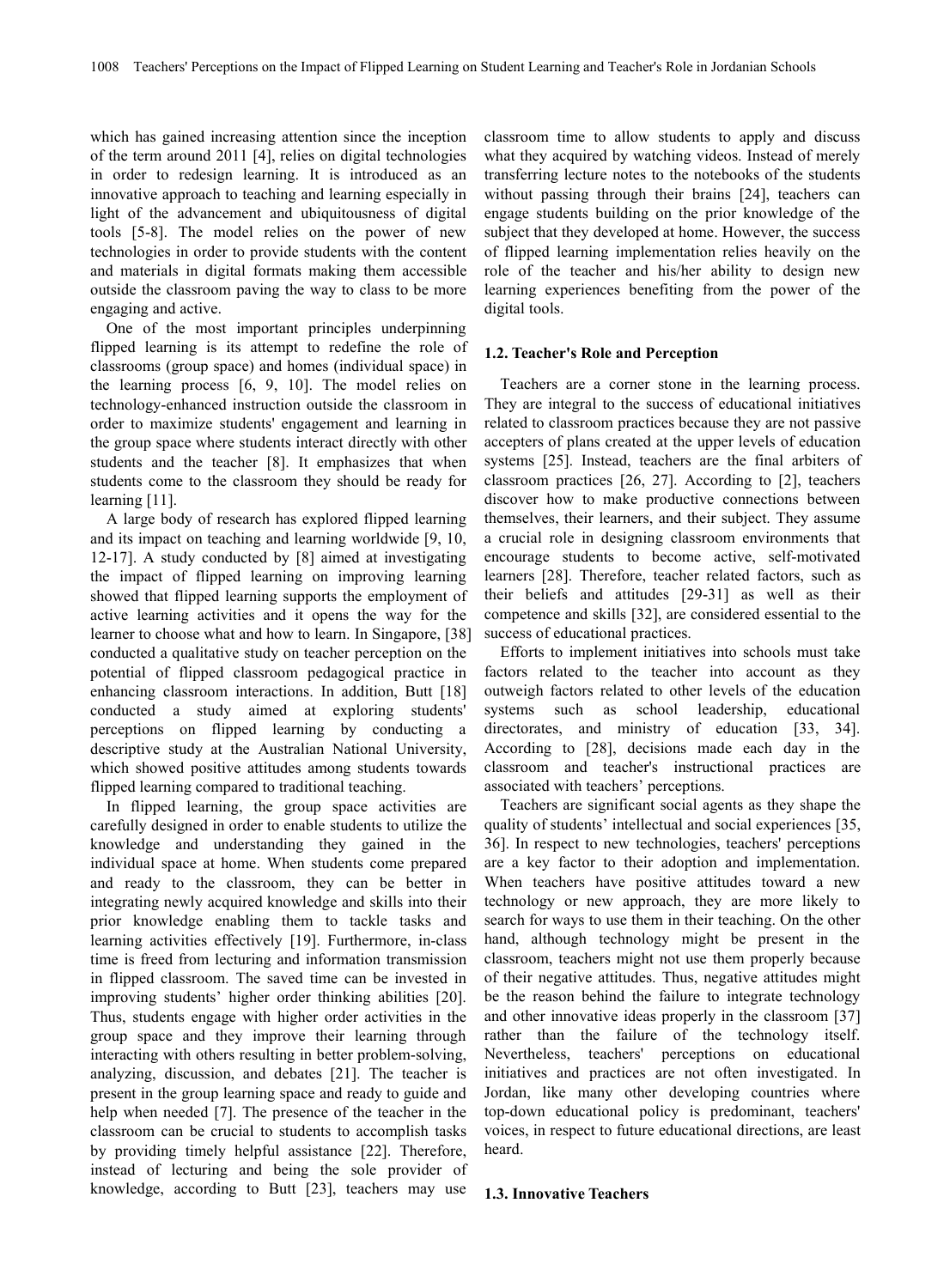which has gained increasing attention since the inception of the term around 2011 [4], relies on digital technologies in order to redesign learning. It is introduced as an innovative approach to teaching and learning especially in light of the advancement and ubiquitousness of digital tools [5-8]. The model relies on the power of new technologies in order to provide students with the content and materials in digital formats making them accessible outside the classroom paving the way to class to be more engaging and active.

One of the most important principles underpinning flipped learning is its attempt to redefine the role of classrooms (group space) and homes (individual space) in the learning process  $[6, 9, 10]$ . The model relies on technology-enhanced instruction outside the classroom in order to maximize students' engagement and learning in the group space where students interact directly with other students and the teacher [8]. It emphasizes that when students come to the classroom they should be ready for learning [11].

A large body of research has explored flipped learning and its impact on teaching and learning worldwide [9, 10, 12-17]. A study conducted by [8] aimed at investigating the impact of flipped learning on improving learning showed that flipped learning supports the employment of active learning activities and it opens the way for the learner to choose what and how to learn. In Singapore, [38] conducted a qualitative study on teacher perception on the potential of flipped classroom pedagogical practice in enhancing classroom interactions. In addition, Butt [18] conducted a study aimed at exploring students' perceptions on flipped learning by conducting a descriptive study at the Australian National University, which showed positive attitudes among students towards flipped learning compared to traditional teaching.

In flipped learning, the group space activities are carefully designed in order to enable students to utilize the knowledge and understanding they gained in the individual space at home. When students come prepared and ready to the classroom, they can be better in integrating newly acquired knowledge and skills into their prior knowledge enabling them to tackle tasks and learning activities effectively [19]. Furthermore, in-class time is freed from lecturing and information transmission in flipped classroom.The saved time can be invested in improving students' higher order thinking abilities [20]. Thus, students engage with higher order activities in the group space and they improve their learning through interacting with others resulting in better problem-solving, analyzing, discussion, and debates [21]. The teacher is present in the group learning space and ready to guide and help when needed [7]. The presence of the teacher in the classroom can be crucial to students to accomplish tasks by providing timely helpful assistance [22]. Therefore, instead of lecturing and being the sole provider of knowledge, according to Butt [23], teachers may use classroom time to allow students to apply and discuss what they acquired by watching videos. Instead of merely transferring lecture notes to the notebooks of the students without passing through their brains [24], teachers can engage students building on the prior knowledge of the subject that they developed at home. However, the success of flipped learning implementation relies heavily on the role of the teacher and his/her ability to design new learning experiences benefiting from the power of the digital tools.

#### **1.2. Teacher's Role and Perception**

Teachers are a corner stone in the learning process. They are integral to the success of educational initiatives related to classroom practices because they are not passive accepters of plans created at the upper levels of education systems [25]. Instead, teachers are the final arbiters of classroom practices [26, 27]. According to [2], teachers discover how to make productive connections between themselves, their learners, and their subject. They assume a crucial role in designing classroom environments that encourage students to become active, self-motivated learners [28]. Therefore, teacher related factors, such as their beliefs and attitudes [29-31] as well as their competence and skills [32], are considered essential to the success of educational practices.

Efforts to implement initiatives into schools must take factors related to the teacher into account as they outweigh factors related to other levels of the education systems such as school leadership, educational directorates, and ministry of education [33, 34]. According to [28], decisions made each day in the classroom and teacher's instructional practices are associated with teachers' perceptions.

Teachers are significant social agents as they shape the quality of students' intellectual and social experiences [35, 36]. In respect to new technologies, teachers' perceptions are a key factor to their adoption and implementation. When teachers have positive attitudes toward a new technology or new approach, they are more likely to search for ways to use them in their teaching. On the other hand, although technology might be present in the classroom, teachers might not use them properly because of their negative attitudes. Thus, negative attitudes might be the reason behind the failure to integrate technology and other innovative ideas properly in the classroom [37] rather than the failure of the technology itself. Nevertheless, teachers' perceptions on educational initiatives and practices are not often investigated. In Jordan, like many other developing countries where top-down educational policy is predominant, teachers' voices, in respect to future educational directions, are least heard.

#### **1.3. Innovative Teachers**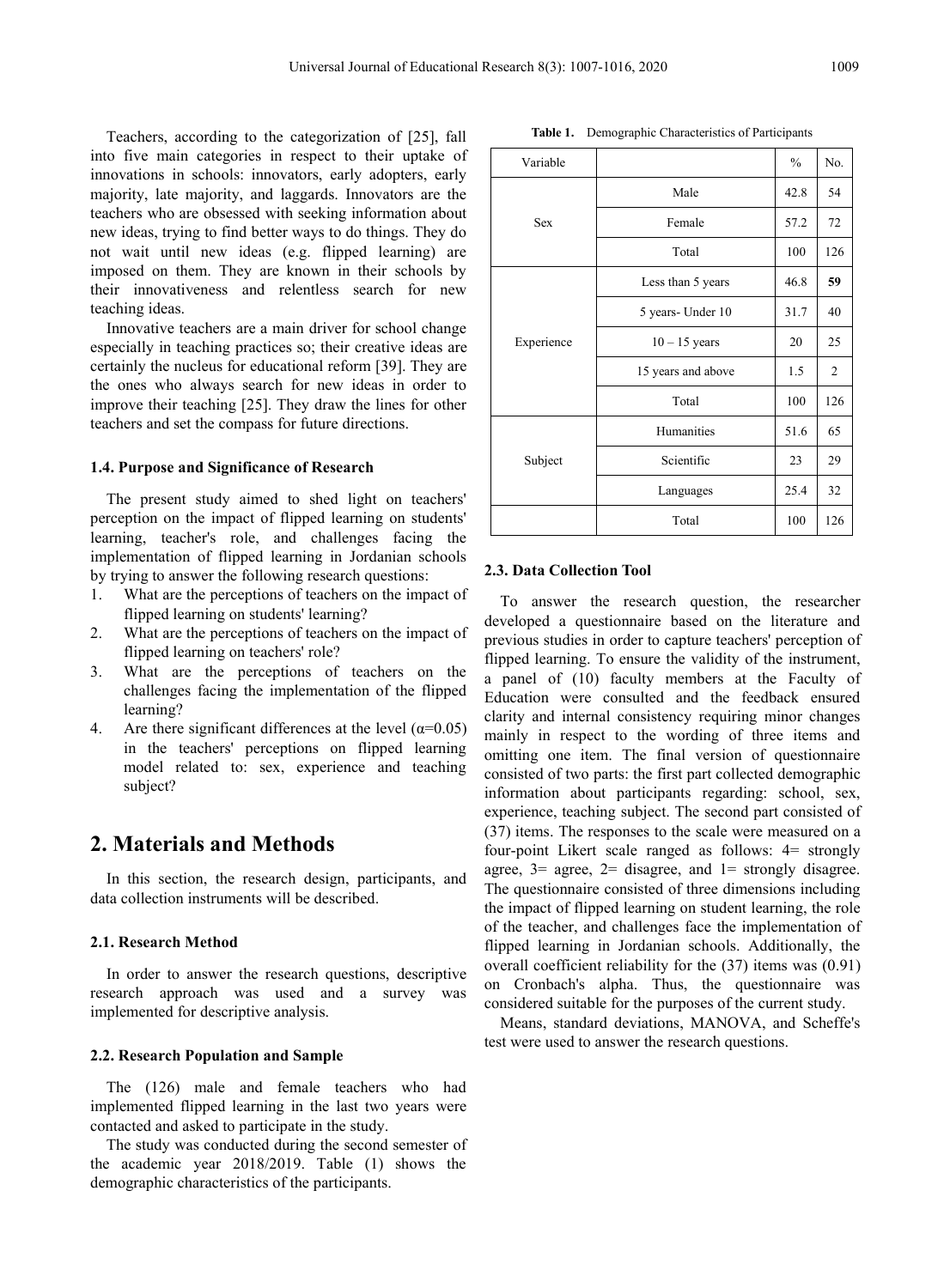Teachers, according to the categorization of [25], fall into five main categories in respect to their uptake of innovations in schools: innovators, early adopters, early majority, late majority, and laggards. Innovators are the teachers who are obsessed with seeking information about new ideas, trying to find better ways to do things. They do not wait until new ideas (e.g. flipped learning) are imposed on them. They are known in their schools by their innovativeness and relentless search for new teaching ideas.

Innovative teachers are a main driver for school change especially in teaching practices so; their creative ideas are certainly the nucleus for educational reform [39]. They are the ones who always search for new ideas in order to improve their teaching  $[25]$ . They draw the lines for other teachers and set the compass for future directions.

#### **1.4. Purpose and Significance of Research**

The present study aimed to shed light on teachers' perception on the impact of flipped learning on students' learning, teacher's role, and challenges facing the implementation of flipped learning in Jordanian schools by trying to answer the following research questions:

- 1. What are the perceptions of teachers on the impact of flipped learning on students' learning?
- 2. What are the perceptions of teachers on the impact of flipped learning on teachers' role?
- 3. What are the perceptions of teachers on the challenges facing the implementation of the flipped learning?
- 4. Are there significant differences at the level  $(\alpha=0.05)$ in the teachers' perceptions on flipped learning model related to: sex, experience and teaching subject?

# **2. Materials and Methods**

In this section, the research design, participants, and data collection instruments will be described.

#### **2.1. Research Method**

In order to answer the research questions, descriptive research approach was used and a survey was implemented for descriptive analysis.

## **2.2. Research Population and Sample**

The (126) male and female teachers who had implemented flipped learning in the last two years were contacted and asked to participate in the study.

The study was conducted during the second semester of the academic year 2018/2019. Table (1) shows the demographic characteristics of the participants.

| Variable   |                    | $\frac{0}{0}$ | No.            |
|------------|--------------------|---------------|----------------|
|            | Male               | 42.8          | 54             |
| Sex        | Female             | 57.2          | 72             |
|            | Total              | 100           | 126            |
|            | Less than 5 years  | 46.8          | 59             |
| Experience | 5 years- Under 10  | 31.7          | 40             |
|            | $10 - 15$ years    | 20            | 25             |
|            | 15 years and above | 1.5           | $\mathfrak{2}$ |
|            | Total              | 100           | 126            |
|            | Humanities         | 51.6          | 65             |
| Subject    | Scientific         | 23            | 29             |
|            | Languages          | 25.4          | 32             |
|            | Total              | 100           | 126            |

#### **2.3. Data Collection Tool**

To answer the research question, the researcher developed a questionnaire based on the literature and previous studies in order to capture teachers' perception of flipped learning. To ensure the validity of the instrument, a panel of (10) faculty members at the Faculty of Education were consulted and the feedback ensured clarity and internal consistency requiring minor changes mainly in respect to the wording of three items and omitting one item. The final version of questionnaire consisted of two parts: the first part collected demographic information about participants regarding: school, sex, experience, teaching subject. The second part consisted of (37) items. The responses to the scale were measured on a four-point Likert scale ranged as follows: 4= strongly agree,  $3=$  agree,  $2=$  disagree, and  $1=$  strongly disagree. The questionnaire consisted of three dimensions including the impact of flipped learning on student learning, the role of the teacher, and challenges face the implementation of flipped learning in Jordanian schools. Additionally, the overall coefficient reliability for the (37) items was (0.91) on Cronbach's alpha. Thus, the questionnaire was considered suitable for the purposes of the current study.

Means, standard deviations, MANOVA, and Scheffe's test were used to answer the research questions.

**Table 1.** Demographic Characteristics of Participants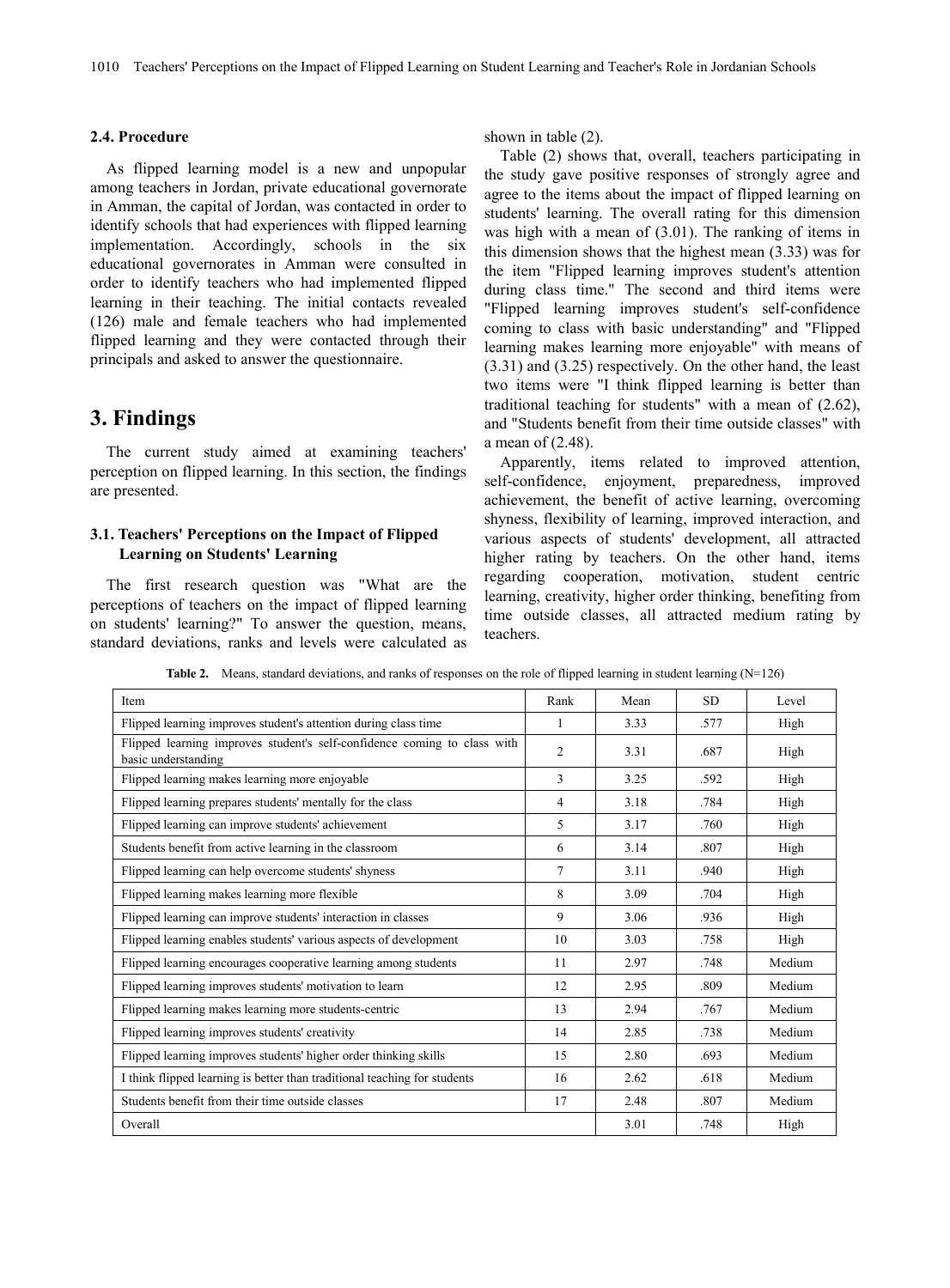#### **2.4. Procedure**

As flipped learning model is a new and unpopular among teachers in Jordan, private educational governorate in Amman, the capital of Jordan, was contacted in order to identify schools that had experiences with flipped learning implementation. Accordingly, schools in the six educational governorates in Amman were consulted in order to identify teachers who had implemented flipped learning in their teaching. The initial contacts revealed (126) male and female teachers who had implemented flipped learning and they were contacted through their principals and asked to answer the questionnaire.

# **3. Findings**

The current study aimed at examining teachers'  $\alpha$  incan or (2.46).<br>Apparently, items related to improved attention, perception on flipped learning. In this section, the findings are presented.

# **3.1. Teachers' Perceptions on the Impact of Flipped Learning on Students' Learning**

The first research question was "What are the perceptions of teachers on the impact of flipped learning on students' learning?" To answer the question, means, standard deviations, ranks and levels were calculated as shown in table (2).

Table (2) shows that, overall, teachers participating in the study gave positive responses of strongly agree and agree to the items about the impact of flipped learning on students' learning. The overall rating for this dimension was high with a mean of (3.01). The ranking of items in this dimension shows that the highest mean  $(3.33)$  was for the item "Flipped learning improves student's attention during class time." The second and third items were "Flipped learning improves student's self-confidence coming to class with basic understanding" and "Flipped learning makes learning more enjoyable" with means of (3.31) and (3.25) respectively. On the other hand, the least two items were "I think flipped learning is better than traditional teaching for students" with a mean of (2.62), and "Students benefit from their time outside classes" with a mean of (2.48).

self-confidence, enjoyment, preparedness, improved achievement, the benefit of active learning, overcoming shyness, flexibility of learning, improved interaction, and various aspects of students' development, all attracted higher rating by teachers. On the other hand, items regarding cooperation, motivation, student centric learning, creativity, higher order thinking, benefiting from time outside classes, all attracted medium rating by teachers.

**Table 2.** Means, standard deviations, and ranks of responses on the role of flipped learning in student learning (N=126)

| Item                                                                                            | Rank           | Mean | <b>SD</b> | Level  |
|-------------------------------------------------------------------------------------------------|----------------|------|-----------|--------|
| Flipped learning improves student's attention during class time                                 |                | 3.33 | .577      | High   |
| Flipped learning improves student's self-confidence coming to class with<br>basic understanding | $\overline{2}$ | 3.31 | .687      | High   |
| Flipped learning makes learning more enjoyable                                                  | 3              | 3.25 | .592      | High   |
| Flipped learning prepares students' mentally for the class                                      | 4              | 3.18 | .784      | High   |
| Flipped learning can improve students' achievement                                              | 5              | 3.17 | .760      | High   |
| Students benefit from active learning in the classroom                                          | 6              | 3.14 | .807      | High   |
| Flipped learning can help overcome students' shyness                                            | $\tau$         | 3.11 | .940      | High   |
| Flipped learning makes learning more flexible                                                   | 8              | 3.09 | .704      | High   |
| Flipped learning can improve students' interaction in classes                                   | 9              | 3.06 | .936      | High   |
| Flipped learning enables students' various aspects of development                               | 10             | 3.03 | .758      | High   |
| Flipped learning encourages cooperative learning among students                                 | 11             | 2.97 | .748      | Medium |
| Flipped learning improves students' motivation to learn                                         | 12             | 2.95 | .809      | Medium |
| Flipped learning makes learning more students-centric                                           | 13             | 2.94 | .767      | Medium |
| Flipped learning improves students' creativity                                                  | 14             | 2.85 | .738      | Medium |
| Flipped learning improves students' higher order thinking skills                                | 15             | 2.80 | .693      | Medium |
| I think flipped learning is better than traditional teaching for students                       | 16             | 2.62 | .618      | Medium |
| Students benefit from their time outside classes                                                | 17             | 2.48 | .807      | Medium |
| Overall                                                                                         |                | 3.01 | .748      | High   |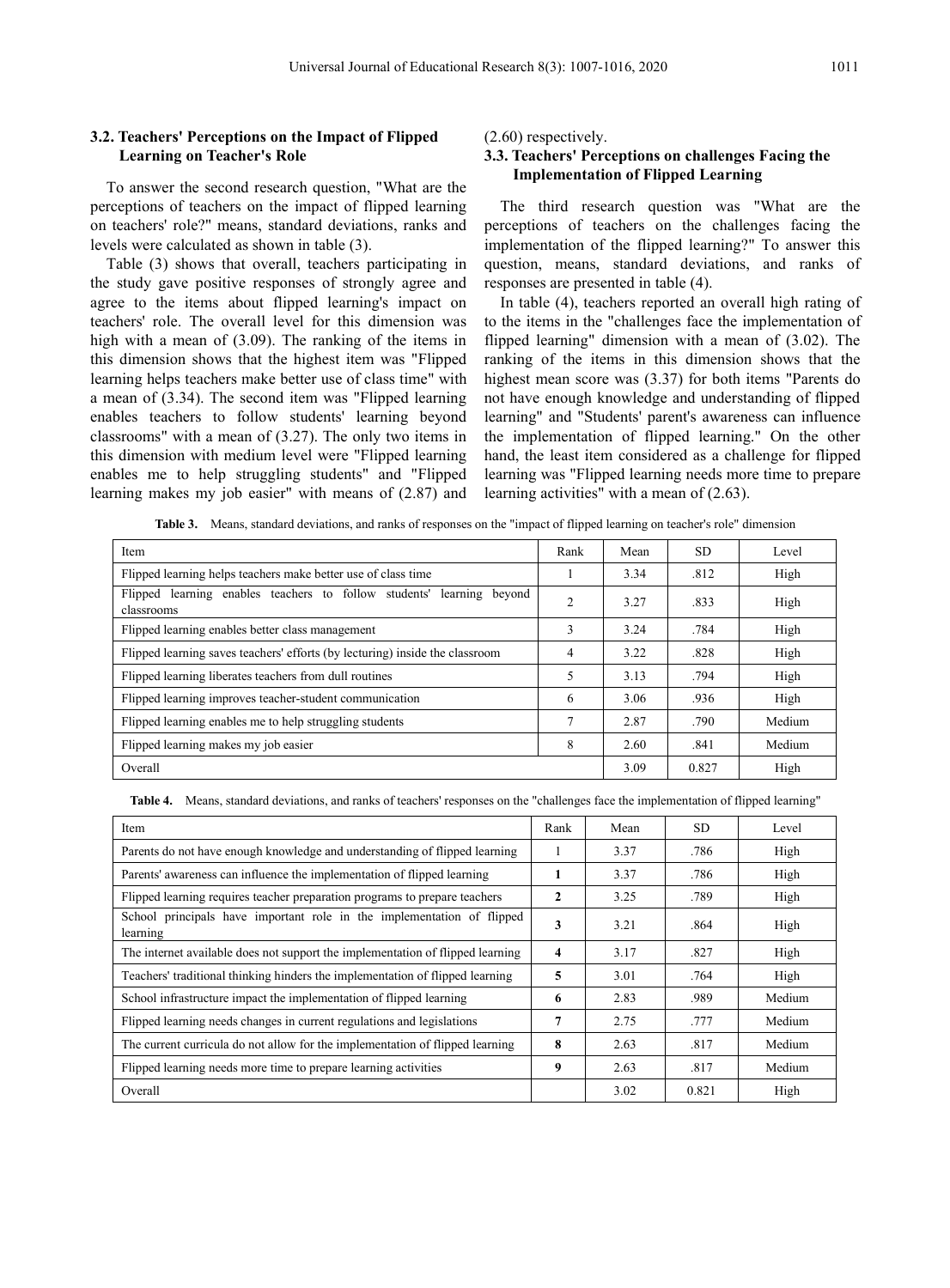# **3.2. Teachers' Perceptions on the Impact of Flipped Learning on Teacher's Role**

To answer the second research question, "What are the perceptions of teachers on the impact of flipped learning on teachers' role?" means, standard deviations, ranks and levels were calculated as shown in table (3).

Table (3) shows that overall, teachers participating in the study gave positive responses of strongly agree and agree to the items about flipped learning's impact on teachers' role. The overall level for this dimension was high with a mean of (3.09). The ranking of the items in this dimension shows that the highest item was "Flipped learning helps teachers make better use of class time" with a mean of (3.34). The second item was "Flipped learning enables teachers to follow students' learning beyond classrooms" with a mean of (3.27). The only two items in this dimension with medium level were "Flipped learning enables me to help struggling students" and "Flipped learning makes my job easier" with means of (2.87) and (2.60) respectively.

# **3.3. Teachers' Perceptions on challenges Facing the Implementation of Flipped Learning**

The third research question was "What are the perceptions of teachers on the challenges facing the implementation of the flipped learning?" To answer this question, means, standard deviations, and ranks of responses are presented in table (4).

In table (4), teachers reported an overall high rating of to the items in the "challenges face the implementation of flipped learning" dimension with a mean of (3.02). The ranking of the items in this dimension shows that the highest mean score was (3.37) for both items "Parents do not have enough knowledge and understanding of flipped learning" and "Students' parent's awareness can influence the implementation of flipped learning." On the other hand, the least item considered as a challenge for flipped learning was "Flipped learning needs more time to prepare learning activities" with a mean of (2.63).

**Table 3.** Means, standard deviations, and ranks ofresponses on the "impact of flipped learning on teacher's role" dimension

| Item                                                                                | Rank           | Mean | <b>SD</b> | Level  |
|-------------------------------------------------------------------------------------|----------------|------|-----------|--------|
| Flipped learning helps teachers make better use of class time                       |                | 3.34 | .812      | High   |
| Flipped learning enables teachers to follow students' learning beyond<br>classrooms | 2              | 3.27 | .833      | High   |
| Flipped learning enables better class management                                    | 3              | 3.24 | .784      | High   |
| Flipped learning saves teachers' efforts (by lecturing) inside the classroom        | 4              | 3.22 | .828      | High   |
| Flipped learning liberates teachers from dull routines                              | 5              | 3.13 | .794      | High   |
| Flipped learning improves teacher-student communication                             | 6              | 3.06 | .936      | High   |
| Flipped learning enables me to help struggling students                             | $\overline{7}$ | 2.87 | .790      | Medium |
| Flipped learning makes my job easier                                                | 8              | 2.60 | .841      | Medium |
| Overall                                                                             |                | 3.09 | 0.827     | High   |
|                                                                                     |                |      |           |        |

Table 4. Means, standard deviations, and ranks of teachers' responses on the "challenges face the implementation of flipped learning"

| Item                                                                               | Rank | Mean | <b>SD</b> | Level  |
|------------------------------------------------------------------------------------|------|------|-----------|--------|
| Parents do not have enough knowledge and understanding of flipped learning         |      | 3.37 | .786      | High   |
| Parents' awareness can influence the implementation of flipped learning            |      | 3.37 | .786      | High   |
| Flipped learning requires teacher preparation programs to prepare teachers         | 2    | 3.25 | .789      | High   |
| School principals have important role in the implementation of flipped<br>learning | 3    | 3.21 | .864      | High   |
| The internet available does not support the implementation of flipped learning     | 4    | 3.17 | .827      | High   |
| Teachers' traditional thinking hinders the implementation of flipped learning      | 5    | 3.01 | .764      | High   |
| School infrastructure impact the implementation of flipped learning                | 6    | 2.83 | .989      | Medium |
| Flipped learning needs changes in current regulations and legislations             | 7    | 2.75 | .777      | Medium |
| The current curricula do not allow for the implementation of flipped learning      | 8    | 2.63 | .817      | Medium |
| Flipped learning needs more time to prepare learning activities                    | 9    | 2.63 | .817      | Medium |
| Overall                                                                            |      | 3.02 | 0.821     | High   |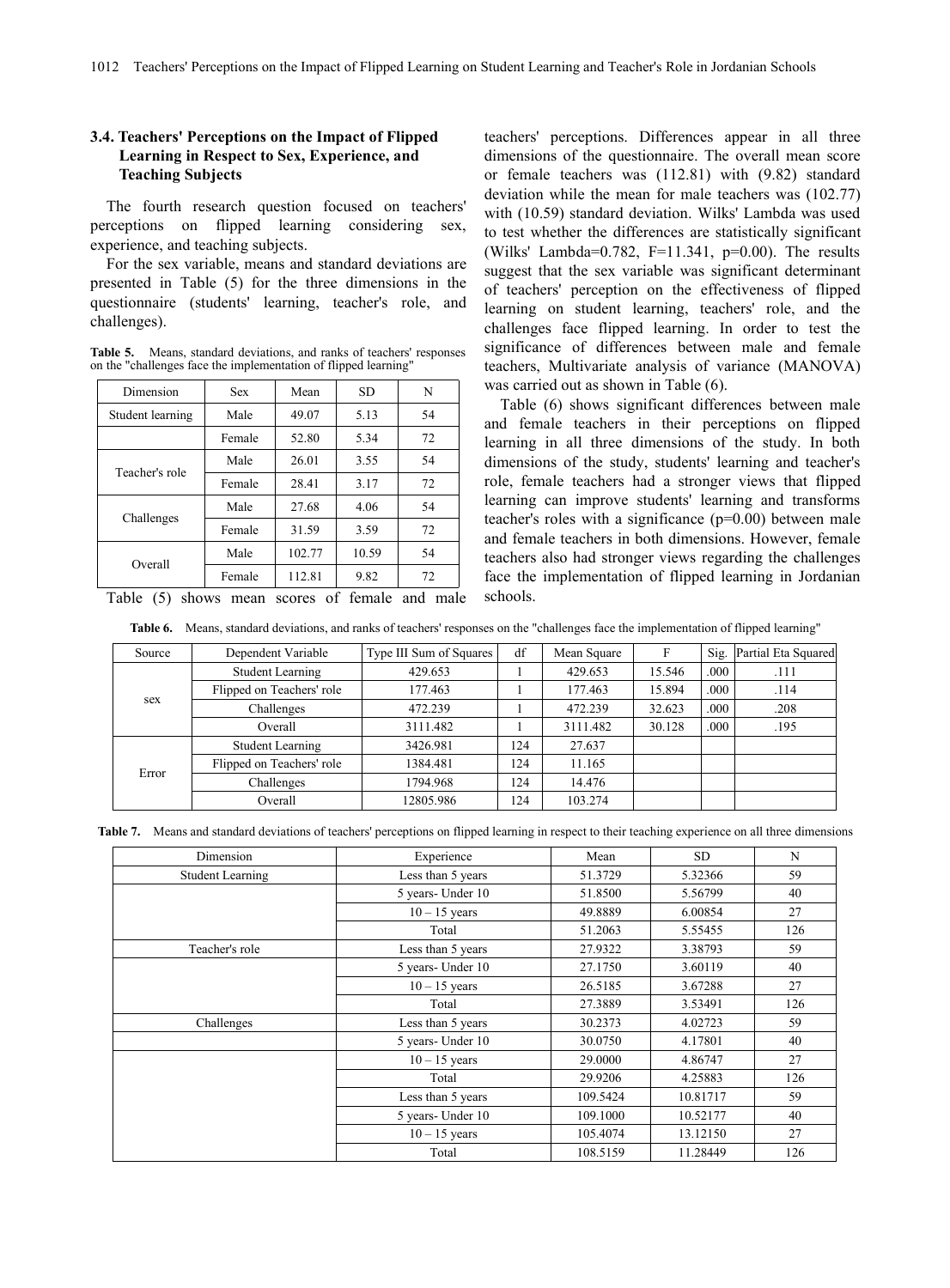# **3.4. Teachers' Perceptions on the Impact of Flipped Learning in Respect to Sex, Experience, and Teaching Subjects**

The fourth research question focused on teachers' perceptions on flipped learning considering sex, experience, and teaching subjects.

For the sex variable, means and standard deviations are presented in Table (5) for the three dimensions in the questionnaire (students' learning, teacher's role, and challenges).

**Table 5.** Means, standard deviations, and ranks of teachers' responses on the "challenges face the implementation of flipped learning"

| Dimension                                      |            |        | SD.   | N  | was carried out as shown in Table (6).                     |
|------------------------------------------------|------------|--------|-------|----|------------------------------------------------------------|
|                                                | <b>Sex</b> | Mean   |       |    |                                                            |
| Student learning                               | Male       | 49.07  | 5.13  | 54 | Table (6) shows significant differences between r          |
|                                                |            |        |       |    | and female teachers in their perceptions on flip           |
|                                                | Female     | 52.80  | 5.34  | 72 | learning in all three dimensions of the study. In          |
|                                                | Male       | 26.01  | 3.55  | 54 | dimensions of the study, students' learning and teach      |
| Teacher's role                                 | Female     | 28.41  | 3.17  | 72 | role, female teachers had a stronger views that flip       |
|                                                | Male       | 27.68  | 4.06  | 54 | learning can improve students' learning and transform      |
| Challenges                                     | Female     | 31.59  | 3.59  | 72 | teacher's roles with a significance ( $p=0.00$ ) between r |
|                                                |            |        |       |    | and female teachers in both dimensions. However, fer       |
|                                                | Male       | 102.77 | 10.59 | 54 | teachers also had stronger views regarding the challer     |
| Overall                                        | Female     | 112.81 | 9.82  | 72 | face the implementation of flipped learning in Jorda       |
| Table (5) shows mean scores of female and male |            |        |       |    | schools.                                                   |

teachers' perceptions. Differences appear in all three dimensions of the questionnaire. The overall mean score or female teachers was (112.81) with (9.82) standard deviation while the mean for male teachers was (102.77) with (10.59) standard deviation. Wilks' Lambda was used to test whether the differences are statistically significant (Wilks' Lambda=0.782, F=11.341, p=0.00). The results suggest that the sex variable was significant determinant of teachers' perception on the effectiveness of flipped learning on student learning, teachers' role, and the challenges face flipped learning. In order to test the significance of differences between male and female teachers, Multivariate analysis of variance (MANOVA)

Female  $52.80$   $5.34$   $72$  learning in all three dimensions of the study. In both Female 28.41 3.17 72 role, female teachers had a stronger views that flipped Female 31.59 3.59 72 and female teachers in both dimensions. However, female Male 102.77 10.59 54 teachers also had stronger views regarding the challenges Female 112.81 9.82 72 face the implementation of flipped learning in Jordanian Table (6) shows significant differences between male and female teachers in their perceptions on flipped dimensions of the study, students' learning and teacher's learning can improve students' learning and transforms teacher's roles with a significance (p=0.00) between male schools.

Table 6. Means, standard deviations, and ranks of teachers' responses on the "challenges face the implementation of flipped learning"

| Source | Dependent Variable        | Type III Sum of Squares | df  | Mean Square | н.     |      | Sig. Partial Eta Squared |
|--------|---------------------------|-------------------------|-----|-------------|--------|------|--------------------------|
|        | <b>Student Learning</b>   | 429.653                 |     | 429.653     | 15.546 | .000 | .111                     |
|        | Flipped on Teachers' role | 177.463                 |     | 177.463     | 15.894 | .000 | .114                     |
| sex    | Challenges                | 472.239                 |     | 472.239     | 32.623 | .000 | .208                     |
|        | Overall                   | 3111.482                |     | 3111.482    | 30.128 | .000 | .195                     |
|        | <b>Student Learning</b>   | 3426.981                | 124 | 27.637      |        |      |                          |
| Error  | Flipped on Teachers' role | 1384.481                | 124 | 11.165      |        |      |                          |
|        | Challenges                | 1794.968                | 124 | 14.476      |        |      |                          |
|        | Overall                   | 12805.986               | 124 | 103.274     |        |      |                          |

**Table .** Means and standard deviations of teachers' perceptions on flipped learning in respect to their teaching experience on all three dimensions

| Dimension               | Experience        | Mean     | SD       | N   |
|-------------------------|-------------------|----------|----------|-----|
| <b>Student Learning</b> | Less than 5 years | 51.3729  | 5.32366  | 59  |
|                         | 5 years- Under 10 | 51.8500  | 5.56799  | 40  |
|                         | $10 - 15$ years   | 49.8889  | 6.00854  | 27  |
|                         | Total             | 51.2063  | 5.55455  | 126 |
| Teacher's role          | Less than 5 years | 27.9322  | 3.38793  | 59  |
|                         | 5 years- Under 10 | 27.1750  | 3.60119  | 40  |
|                         | $10 - 15$ years   | 26.5185  | 3.67288  | 27  |
|                         | Total             | 27.3889  | 3.53491  | 126 |
| Challenges              | Less than 5 years | 30.2373  | 4.02723  | 59  |
|                         | 5 years- Under 10 | 30.0750  | 4.17801  | 40  |
|                         | $10 - 15$ years   | 29.0000  | 4.86747  | 27  |
|                         | Total             | 29.9206  | 4.25883  | 126 |
|                         | Less than 5 years | 109.5424 | 10.81717 | 59  |
|                         | 5 years- Under 10 | 109.1000 | 10.52177 | 40  |
|                         | $10 - 15$ years   | 105.4074 | 13.12150 | 27  |
|                         | Total             | 108.5159 | 11.28449 | 126 |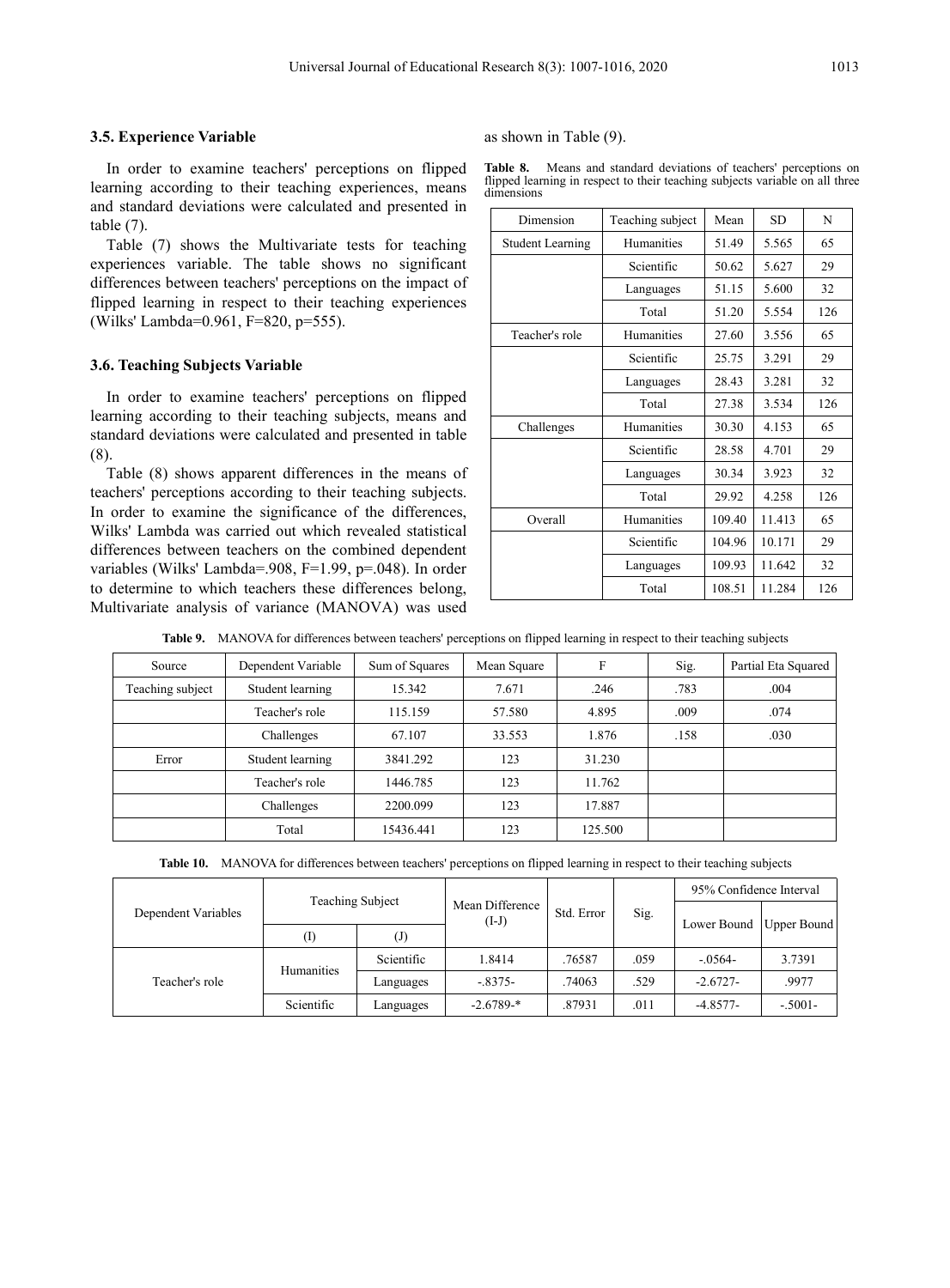## **3.. Experience Variable**

In order to examine teachers' perceptions on flipped learning according to their teaching experiences, means and standard deviations were calculated and presented in table (7).

Table (7) shows the Multivariate tests for teaching experiences variable. The table shows no significant differences between teachers' perceptions on the impact of flipped learning in respect to their teaching experiences (Wilks' Lambda=0.961, F=820, p=555).

#### **3.. Teaching Subjects Variable**

In order to examine teachers' perceptions on flipped learning according to their teaching subjects, means and standard deviations were calculated and presented in table (8).Table (8) shows apparent differences in the means of

teachers' perceptions according to their teaching subjects. In order to examine the significance of the differences, Wilks' Lambda was carried out which revealed statistical differences between teachers on the combined dependent variables (Wilks' Lambda=.908, F=1.99, p=.048). In order to determine to which teachers these differences belong, Multivariate analysis of variance (MANOVA) was used as shown in Table (9).

| Table 8.<br>Means and standard deviations of teachers' perceptions on        |  |
|------------------------------------------------------------------------------|--|
| flipped learning in respect to their teaching subjects variable on all three |  |
| dimensions                                                                   |  |

| Dimension               | Teaching subject | Mean   | <b>SD</b> | N   |
|-------------------------|------------------|--------|-----------|-----|
| <b>Student Learning</b> | Humanities       | 51.49  | 5.565     | 65  |
|                         | Scientific       | 50.62  | 5.627     | 29  |
|                         | Languages        | 51.15  | 5.600     | 32  |
|                         | Total            | 51.20  | 5.554     | 126 |
| Teacher's role          | Humanities       | 27.60  | 3.556     | 65  |
|                         | Scientific       | 25.75  | 3.291     | 29  |
|                         | Languages        | 28.43  | 3.281     | 32  |
|                         | Total            | 27.38  | 3.534     | 126 |
| Challenges              | Humanities       | 30.30  | 4.153     | 65  |
|                         | Scientific       | 28.58  | 4.701     | 29  |
|                         | Languages        | 30.34  | 3.923     | 32  |
|                         | Total            | 29.92  | 4.258     | 126 |
| Overall                 | Humanities       | 109.40 | 11.413    | 65  |
|                         | Scientific       | 104.96 | 10.171    | 29  |
|                         | Languages        | 109.93 | 11.642    | 32  |
|                         | Total            | 108.51 | 11.284    | 126 |

**Table .** MANOVA for differences between teachers' perceptions on flipped learning in respect to their teaching subjects

| Source           | Dependent Variable | Sum of Squares | Mean Square | F       | Sig. | Partial Eta Squared |
|------------------|--------------------|----------------|-------------|---------|------|---------------------|
| Teaching subject | Student learning   | 15.342         | 7.671       | .246    | .783 | .004                |
|                  | Teacher's role     | 115.159        | 57.580      | 4.895   | .009 | .074                |
|                  | Challenges         | 67.107         | 33.553      | 1.876   | .158 | .030                |
| Error            | Student learning   | 3841.292       | 123         | 31.230  |      |                     |
|                  | Teacher's role     | 1446.785       | 123         | 11.762  |      |                     |
|                  | Challenges         | 2200.099       | 123         | 17.887  |      |                     |
|                  | Total              | 15436.441      | 123         | 125.500 |      |                     |

**Table 10.** MANOVA for differences between teachers' perceptions on flipped learning in respect to their teaching subjects

| Dependent Variables | <b>Teaching Subject</b> |                            |                            |            | Sig. | 95% Confidence Interval   |           |  |
|---------------------|-------------------------|----------------------------|----------------------------|------------|------|---------------------------|-----------|--|
|                     |                         |                            | Mean Difference<br>$(I-J)$ | Std. Error |      |                           |           |  |
|                     | (I)                     | $\left( \mathrm{J}\right)$ |                            |            |      | Lower Bound   Upper Bound |           |  |
| Teacher's role      | Humanities              | Scientific                 | 1.8414                     | .76587     | .059 | $-.0564-$                 | 3.7391    |  |
|                     |                         | Languages                  | $-.8375-$                  | .74063     | .529 | $-2.6727-$                | .9977     |  |
|                     | Scientific              | Languages                  | $-2.6789-*$                | .87931     | .011 | $-4.8577-$                | $-.5001-$ |  |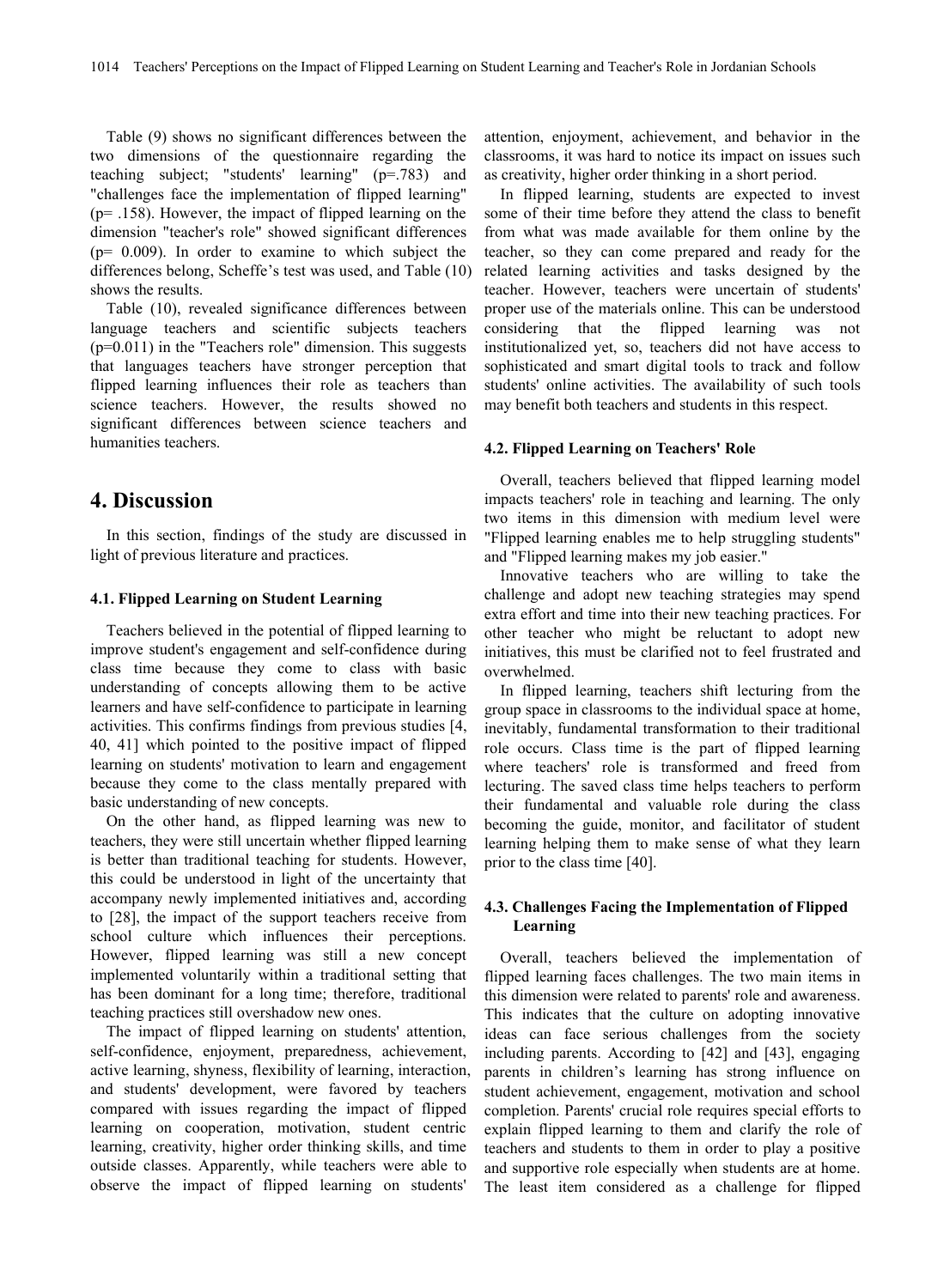Table (9) shows no significant differences between the two dimensions of the questionnaire regarding the teaching subject; "students' learning" (p=.783) and "challenges face the implementation of flipped learning" (p= .158). However, the impact of flipped learning on the dimension "teacher's role" showed significant differences (p= 0.009). In order to examine to which subject the differences belong, Scheffe's test was used, and Table (10) shows the results.

Table (10), revealed significance differences between language teachers and scientific subjects teachers  $(p=0.011)$  in the "Teachers role" dimension. This suggests that languages teachers have stronger perception that flipped learning influences their role as teachers than science teachers. However, the results showed no significant differences between science teachers and humanities teachers.

# **4. Discussion**

In this section, findings of the study are discussed in light of previous literature and practices.

## **4.1. Flipped Learning on Student Learning**

Teachers believed in the potential of flipped learning to improve student's engagement and self-confidence during class time because they come to class with basic understanding of concepts allowing them to be active learners and have self-confidence to participate in learning activities. This confirms findings from previous studies [4, 40, 41] which pointed to the positive impact of flipped learning on students' motivation to learn and engagement because they come to the class mentally prepared with basic understanding of new concepts.

On the other hand, as flipped learning was new to teachers, they were still uncertain whether flipped learning is better than traditional teaching for students. However, this could be understood in light of the uncertainty that accompany newly implemented initiatives and, according to [28], the impact of the support teachers receive from school culture which influences their perceptions. However, flipped learning was still a new concept implemented voluntarily within a traditional setting that has been dominant for a long time; therefore, traditional teaching practices still overshadow new ones.

The impact of flipped learning on students' attention, self-confidence, enjoyment, preparedness, achievement, active learning, shyness, flexibility of learning, interaction, and students' development, were favored by teachers compared with issues regarding the impact of flipped learning on cooperation, motivation, student centric learning, creativity, higher order thinking skills, and time outside classes. Apparently, while teachers were able to observe the impact of flipped learning on students'

attention, enjoyment, achievement, and behavior in the classrooms, it was hard to notice its impact on issues such as creativity, higher order thinking in a short period.

In flipped learning, students are expected to invest some of their time before they attend the class to benefit from what was made available for them online by the teacher, so they can come prepared and ready for the related learning activities and tasks designed by the teacher. However, teachers were uncertain of students' proper use of the materials online. This can be understood considering that the flipped learning was not institutionalized yet, so, teachers did not have access to sophisticated and smart digital tools to track and follow students' online activities. The availability of such tools may benefit both teachers and students in this respect.

#### **4.2. Flipped Learning on Teachers' Role**

Overall, teachers believed that flipped learning model impacts teachers' role in teaching and learning. The only two items in this dimension with medium level were "Flipped learning enables me to help struggling students" and "Flipped learning makes my job easier."

Innovative teachers who are willing to take the challenge and adopt new teaching strategies may spend extra effort and time into their new teaching practices. For other teacher who might be reluctant to adopt new initiatives, this must be clarified not to feel frustrated and overwhelmed.

In flipped learning, teachers shift lecturing from the group space in classrooms to the individual space at home, inevitably, fundamental transformation to their traditional role occurs. Class time is the part of flipped learning where teachers' role is transformed and freed from lecturing. The saved class time helps teachers to perform their fundamental and valuable role during the class becoming the guide, monitor, and facilitator of student learning helping them to make sense of what they learn prior to the class time [40].

# **4.3. Challenges Facing the Implementation of Flipped Learning**

Overall, teachers believed the implementation of flipped learning faces challenges. The two main items in this dimension were related to parents' role and awareness. This indicates that the culture on adopting innovative ideas can face serious challenges from the society including parents. According to [42] and [43], engaging parents in children's learning has strong influence on student achievement, engagement, motivation and school completion. Parents' crucial role requires special efforts to explain flipped learning to them and clarify the role of teachers and students to them in order to play a positive and supportive role especially when students are at home. The least item considered as a challenge for flipped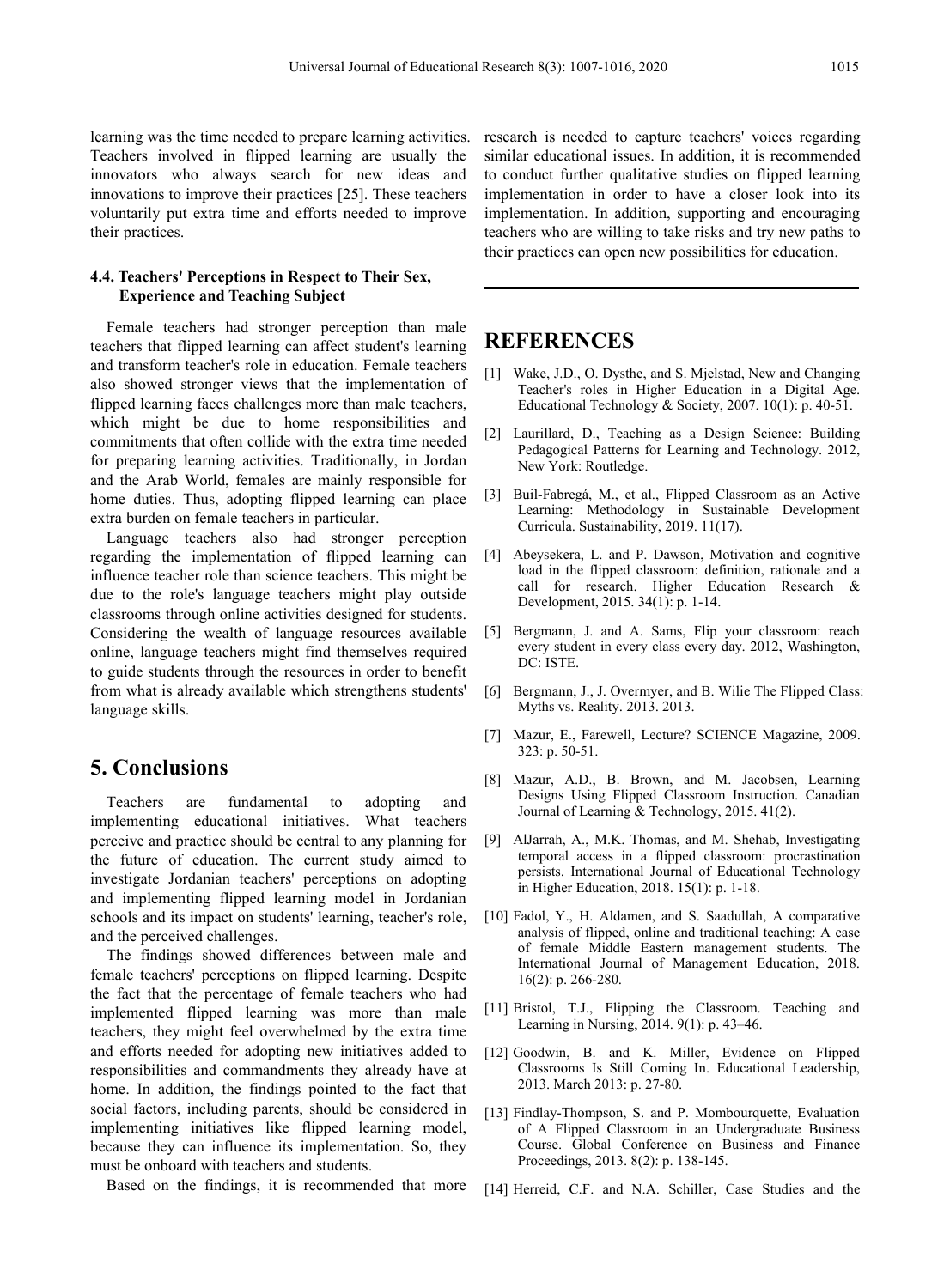learning was the time needed to prepare learning activities. Teachers involved in flipped learning are usually the innovators who always search for new ideas and innovations to improve their practices [25]. These teachers voluntarily put extra time and efforts needed to improve their practices.

# **4.4. Teachers' Perceptions in Respect to Their Sex, Experience and Teaching Subject**

Female teachers had stronger perception than male teachers that flipped learning can affect student's learning and transform teacher's role in education. Female teachers also showed stronger views that the implementation of flipped learning faces challenges more than male teachers, which might be due to home responsibilities and commitments that often collide with the extra time needed for preparing learning activities. Traditionally, in Jordan and the Arab World, females are mainly responsible for home duties. Thus, adopting flipped learning can place extra burden on female teachers in particular.

Language teachers also had stronger perception regarding the implementation of flipped learning can influence teacher role than science teachers. This might be due to the role's language teachers might play outside classrooms through online activities designed for students. Considering the wealth of language resources available [5] online, language teachers might find themselves required to guide students through the resources in order to benefit from what is already available which strengthens students' language skills.

# **. Conclusions**

Teachers are fundamental to adopting and implementing educational initiatives. What teachers perceive and practice should be central to any planning for the future of education. The current study aimed to investigate Jordanian teachers' perceptions on adopting and implementing flipped learning model in Jordanian schools and its impact on students' learning, teacher's role, and the perceived challenges.The findings showed differences between male and

female teachers' perceptions on flipped learning. Despite the fact that the percentage of female teachers who had implemented flipped learning was more than male teachers, they might feel overwhelmed by the extra time and efforts needed for adopting new initiatives added to responsibilities and commandments they already have at home. In addition, the findings pointed to the fact that social factors, including parents, should be considered in implementing initiatives like flipped learning model, because they can influence its implementation. So, they must be onboard with teachers and students.

Based on the findings, it is recommended that more

research is needed to capture teachers' voices regarding similar educational issues. In addition, it is recommended to conduct further qualitative studies on flipped learning implementation in order to have a closer look into its implementation. In addition, supporting and encouraging teachers who are willing to take risks and try new paths to their practices can open new possibilities for education.

# **REFERENCES**

- [1] Wake, J.D., O. Dysthe, and S. Mjelstad, New and Changing Teacher's roles in Higher Education in a Digital Age. Educational Technology & Society, 2007. 10(1): p. 40-51.
- [2] Laurillard, D., Teaching as a Design Science: Building Pedagogical Patterns for Learning and Technology. 2012, New York: Routledge.
- [3] Buil-Fabregá, M., et al., Flipped Classroom as an Active Learning: Methodology in Sustainable Development Curricula. Sustainability, 2019. 11(17).
- [4] Abeysekera, L. and P. Dawson, Motivation and cognitive load in the flipped classroom: definition, rationale and a call for research. Higher Education Research & Development, 2015. 34(1): p. 1-14.
- Bergmann, J. and A. Sams, Flip your classroom: reach every student in every class every day. 2012, Washington, DC: ISTE.
- [6] Bergmann, J., J. Overmyer, and B. Wilie The Flipped Class: Myths vs. Reality. 2013. 2013.
- [7] Mazur, E., Farewell, Lecture? SCIENCE Magazine, 2009. 323: p. 50-51.
- [8] Mazur, A.D., B. Brown, and M. Jacobsen, Learning Designs Using Flipped Classroom Instruction. Canadian Journal of Learning & Technology, 2015. 41(2).
- [9] AlJarrah, A., M.K. Thomas, and M. Shehab, Investigating temporal access in a flipped classroom: procrastination persists. International Journal of Educational Technology in Higher Education, 2018. 15(1): p. 1-18.
- [10] Fadol, Y., H. Aldamen, and S. Saadullah, A comparative analysis of flipped, online and traditional teaching: A case of female Middle Eastern management students. The International Journal of Management Education, 2018. 16(2): p. 266-280.
- [11] Bristol, T.J., Flipping the Classroom. Teaching and Learning in Nursing,2014. 9(1): p. 43–46.
- [12] Goodwin, B. and K. Miller, Evidence on Flipped Classrooms Is Still Coming In. Educational Leadership, 2013. March 2013: p. 27-80.
- [13] Findlay-Thompson, S. and P. Mombourquette, Evaluation of A Flipped Classroom in an Undergraduate Business Course. Global Conference on Business and Finance Proceedings, 2013. 8(2): p. 138-145.
- [14] Herreid, C.F. and N.A. Schiller, Case Studies and the